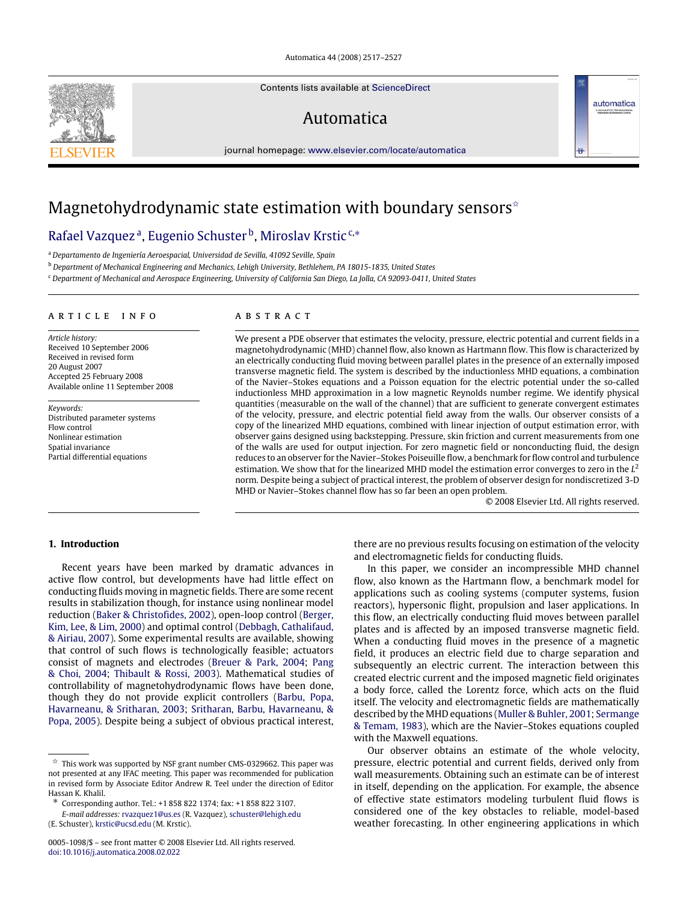#### Automatica 44 (2008) 2517–2527

Contents lists available at [ScienceDirect](http://www.elsevier.com/locate/automatica)

# Automatica

journal homepage: [www.elsevier.com/locate/automatica](http://www.elsevier.com/locate/automatica)

# Magnetohydrodynamic state estimation with boundary sensors<sup> $\hat{\mathbf{x}}$ </sup>

# Rafael Vazquezª, Eugenio Schuster<sup>b</sup>, Miroslav Krstic<sup>c,</sup>\*

<sup>a</sup> *Departamento de Ingeniería Aeroespacial, Universidad de Sevilla, 41092 Seville, Spain*

<sup>b</sup> *Department of Mechanical Engineering and Mechanics, Lehigh University, Bethlehem, PA 18015-1835, United States*

<sup>c</sup> *Department of Mechanical and Aerospace Engineering, University of California San Diego, La Jolla, CA 92093-0411, United States*

#### ARTICLE INFO

*Article history:* Received 10 September 2006 Received in revised form 20 August 2007 Accepted 25 February 2008 Available online 11 September 2008

*Keywords:* Distributed parameter systems Flow control Nonlinear estimation Spatial invariance Partial differential equations

## a b s t r a c t

We present a PDE observer that estimates the velocity, pressure, electric potential and current fields in a magnetohydrodynamic (MHD) channel flow, also known as Hartmann flow. This flow is characterized by an electrically conducting fluid moving between parallel plates in the presence of an externally imposed transverse magnetic field. The system is described by the inductionless MHD equations, a combination of the Navier–Stokes equations and a Poisson equation for the electric potential under the so-called inductionless MHD approximation in a low magnetic Reynolds number regime. We identify physical quantities (measurable on the wall of the channel) that are sufficient to generate convergent estimates of the velocity, pressure, and electric potential field away from the walls. Our observer consists of a copy of the linearized MHD equations, combined with linear injection of output estimation error, with observer gains designed using backstepping. Pressure, skin friction and current measurements from one of the walls are used for output injection. For zero magnetic field or nonconducting fluid, the design reduces to an observer for the Navier–Stokes Poiseuille flow, a benchmark for flow control and turbulence estimation. We show that for the linearized MHD model the estimation error converges to zero in the *L* 2 norm. Despite being a subject of practical interest, the problem of observer design for nondiscretized 3-D MHD or Navier–Stokes channel flow has so far been an open problem.

© 2008 Elsevier Ltd. All rights reserved.

automatica

# **1. Introduction**

Recent years have been marked by dramatic advances in active flow control, but developments have had little effect on conducting fluids moving in magnetic fields. There are some recent results in stabilization though, for instance using nonlinear model reduction (Baker & Christofides, 2002), open-loop control (Berger, Kim, Lee, & Lim, 2000) and optimal control (Debbagh, Cathalifaud, & Airiau, 2007). Some experimental results are available, showing that control of such flows is technologically feasible; actuators consist of magnets and electrodes (Breuer & Park, 2004; Pang & Choi, 2004; Thibault & Rossi, 2003). Mathematical studies of controllability of magnetohydrodynamic flows have been done, though they do not provide explicit controllers (Barbu, Popa, Havarneanu, & Sritharan, 2003; Sritharan, Barbu, Havarneanu, & Popa, 2005). Despite being a subject of obvious practical interest,

*E-mail addresses:* [rvazquez1@us.es](mailto:rvazquez1@us.es) (R. Vazquez), [schuster@lehigh.edu](mailto:schuster@lehigh.edu) (E. Schuster), [krstic@ucsd.edu](mailto:krstic@ucsd.edu) (M. Krstic).

there are no previous results focusing on estimation of the velocity and electromagnetic fields for conducting fluids.

In this paper, we consider an incompressible MHD channel flow, also known as the Hartmann flow, a benchmark model for applications such as cooling systems (computer systems, fusion reactors), hypersonic flight, propulsion and laser applications. In this flow, an electrically conducting fluid moves between parallel plates and is affected by an imposed transverse magnetic field. When a conducting fluid moves in the presence of a magnetic field, it produces an electric field due to charge separation and subsequently an electric current. The interaction between this created electric current and the imposed magnetic field originates a body force, called the Lorentz force, which acts on the fluid itself. The velocity and electromagnetic fields are mathematically described by the MHD equations (Muller & Buhler, 2001; Sermange & Temam, 1983), which are the Navier–Stokes equations coupled with the Maxwell equations.

Our observer obtains an estimate of the whole velocity, pressure, electric potential and current fields, derived only from wall measurements. Obtaining such an estimate can be of interest in itself, depending on the application. For example, the absence of effective state estimators modeling turbulent fluid flows is considered one of the key obstacles to reliable, model-based weather forecasting. In other engineering applications in which



 $\overrightarrow{x}$  This work was supported by NSF grant number CMS-0329662. This paper was not presented at any IFAC meeting. This paper was recommended for publication in revised form by Associate Editor Andrew R. Teel under the direction of Editor Hassan K. Khalil.

<sup>∗</sup> Corresponding author. Tel.: +1 858 822 1374; fax: +1 858 822 3107.

<sup>0005-1098/\$ –</sup> see front matter © 2008 Elsevier Ltd. All rights reserved. [doi:10.1016/j.automatica.2008.02.022](http://dx.doi.org/10.1016/j.automatica.2008.02.022)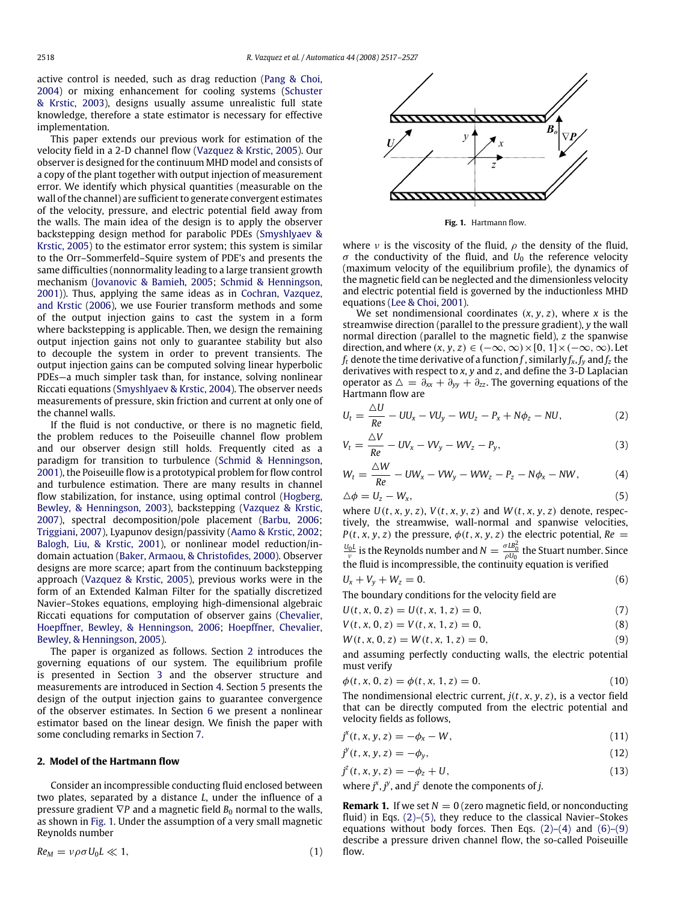active control is needed, such as drag reduction (Pang & Choi, 2004) or mixing enhancement for cooling systems (Schuster & Krstic, 2003), designs usually assume unrealistic full state knowledge, therefore a state estimator is necessary for effective implementation.

This paper extends our previous work for estimation of the velocity field in a 2-D channel flow (Vazquez & Krstic, 2005). Our observer is designed for the continuum MHD model and consists of a copy of the plant together with output injection of measurement error. We identify which physical quantities (measurable on the wall of the channel) are sufficient to generate convergent estimates of the velocity, pressure, and electric potential field away from the walls. The main idea of the design is to apply the observer backstepping design method for parabolic PDEs (Smyshlyaev & Krstic, 2005) to the estimator error system; this system is similar to the Orr–Sommerfeld–Squire system of PDE's and presents the same difficulties (nonnormality leading to a large transient growth mechanism (Jovanovic & Bamieh, 2005; Schmid & Henningson, 2001)). Thus, applying the same ideas as in Cochran, Vazquez, and Krstic (2006), we use Fourier transform methods and some of the output injection gains to cast the system in a form where backstepping is applicable. Then, we design the remaining output injection gains not only to guarantee stability but also to decouple the system in order to prevent transients. The output injection gains can be computed solving linear hyperbolic PDEs—a much simpler task than, for instance, solving nonlinear Riccati equations (Smyshlyaev & Krstic, 2004). The observer needs measurements of pressure, skin friction and current at only one of the channel walls.

If the fluid is not conductive, or there is no magnetic field, the problem reduces to the Poiseuille channel flow problem and our observer design still holds. Frequently cited as a paradigm for transition to turbulence (Schmid & Henningson, 2001), the Poiseuille flow is a prototypical problem for flow control and turbulence estimation. There are many results in channel flow stabilization, for instance, using optimal control (Hogberg, Bewley, & Henningson, 2003), backstepping (Vazquez & Krstic, 2007), spectral decomposition/pole placement (Barbu, 2006; Triggiani, 2007), Lyapunov design/passivity (Aamo & Krstic, 2002; Balogh, Liu, & Krstic, 2001), or nonlinear model reduction/indomain actuation (Baker, Armaou, & Christofides, 2000). Observer designs are more scarce; apart from the continuum backstepping approach (Vazquez & Krstic, 2005), previous works were in the form of an Extended Kalman Filter for the spatially discretized Navier–Stokes equations, employing high-dimensional algebraic Riccati equations for computation of observer gains (Chevalier, Hoepffner, Bewley, & Henningson, 2006; Hoepffner, Chevalier, Bewley, & Henningson, 2005).

The paper is organized as follows. Section 2 introduces the governing equations of our system. The equilibrium profile is presented in Section 3 and the observer structure and measurements are introduced in Section 4. Section 5 presents the design of the output injection gains to guarantee convergence of the observer estimates. In Section 6 we present a nonlinear estimator based on the linear design. We finish the paper with some concluding remarks in Section 7.

#### **2. Model of the Hartmann flow**

Consider an incompressible conducting fluid enclosed between two plates, separated by a distance *L*, under the influence of a pressure gradient  $∇P$  and a magnetic field  $B_0$  normal to the walls, as shown in Fig. 1. Under the assumption of a very small magnetic Reynolds number

$$
Re_M = \nu \rho \sigma U_0 L \ll 1, \tag{1}
$$



**Fig. 1.** Hartmann flow.

where  $\nu$  is the viscosity of the fluid,  $\rho$  the density of the fluid,  $\sigma$  the conductivity of the fluid, and  $U_0$  the reference velocity (maximum velocity of the equilibrium profile), the dynamics of the magnetic field can be neglected and the dimensionless velocity and electric potential field is governed by the inductionless MHD equations (Lee & Choi, 2001).

We set nondimensional coordinates  $(x, y, z)$ , where  $x$  is the streamwise direction (parallel to the pressure gradient), *y* the wall normal direction (parallel to the magnetic field), *z* the spanwise direction, and where  $(x, y, z) \in (-\infty, \infty) \times [0, 1] \times (-\infty, \infty)$ . Let  $f_t$  denote the time derivative of a function  $f$  , similarly  $f_x, f_y$  and  $f_z$  the derivatives with respect to *x*, *y* and *z*, and define the 3-D Laplacian operator as  $\Delta = \partial_{xx} + \partial_{yy} + \partial_{zz}$ . The governing equations of the Hartmann flow are

$$
U_t = \frac{\Delta U}{Re} - UU_x - VU_y - WU_z - P_x + N\phi_z - NU,
$$
\n(2)

$$
V_t = \frac{\Delta V}{Re} - UV_x - VV_y - WV_z - P_y, \qquad (3)
$$

$$
W_t = \frac{\Delta W}{Re} - UW_x - VW_y - WW_z - P_z - N\phi_x - NW,
$$
\n(4)

$$
\Delta \phi = U_z - W_x, \tag{5}
$$

where  $U(t, x, y, z)$ ,  $V(t, x, y, z)$  and  $W(t, x, y, z)$  denote, respectively, the streamwise, wall-normal and spanwise velocities, *P*(*t*, *x*, *y*, *z*) the pressure,  $\phi$ (*t*, *x*, *y*, *z*) the electric potential, *Re* =  $\frac{U_0L}{\nu}$  is the Reynolds number and  $N = \frac{\sigma L B_0^2}{\rho U_0}$  the Stuart number. Since the fluid is incompressible, the continuity equation is verified

$$
U_x + V_y + W_z = 0.
$$
 (6)

The boundary conditions for the velocity field are

$$
U(t, x, 0, z) = U(t, x, 1, z) = 0,
$$
\n(7)

$$
V(t, x, 0, z) = V(t, x, 1, z) = 0,
$$
\n(8)

$$
W(t, x, 0, z) = W(t, x, 1, z) = 0,
$$
\n(9)

and assuming perfectly conducting walls, the electric potential must verify

$$
\phi(t, x, 0, z) = \phi(t, x, 1, z) = 0.
$$
\n(10)

The nondimensional electric current, *j*(*t*, *x*, *y*, *z*), is a vector field that can be directly computed from the electric potential and velocity fields as follows,

$$
j^{x}(t, x, y, z) = -\phi_{x} - W,
$$
\n(11)

$$
j^{\mathcal{Y}}(t, x, y, z) = -\phi_{\mathcal{Y}},\tag{12}
$$

 $j^{z}(t, x, y, z) = -\phi_{z} + U,$  (13)

where  $j^x$ ,  $j^y$ , and  $j^z$  denote the components of *j*.

**Remark 1.** If we set  $N = 0$  (zero magnetic field, or nonconducting fluid) in Eqs. (2)–(5), they reduce to the classical Navier–Stokes equations without body forces. Then Eqs.  $(2)-(4)$  and  $(6)-(9)$ describe a pressure driven channel flow, the so-called Poiseuille flow.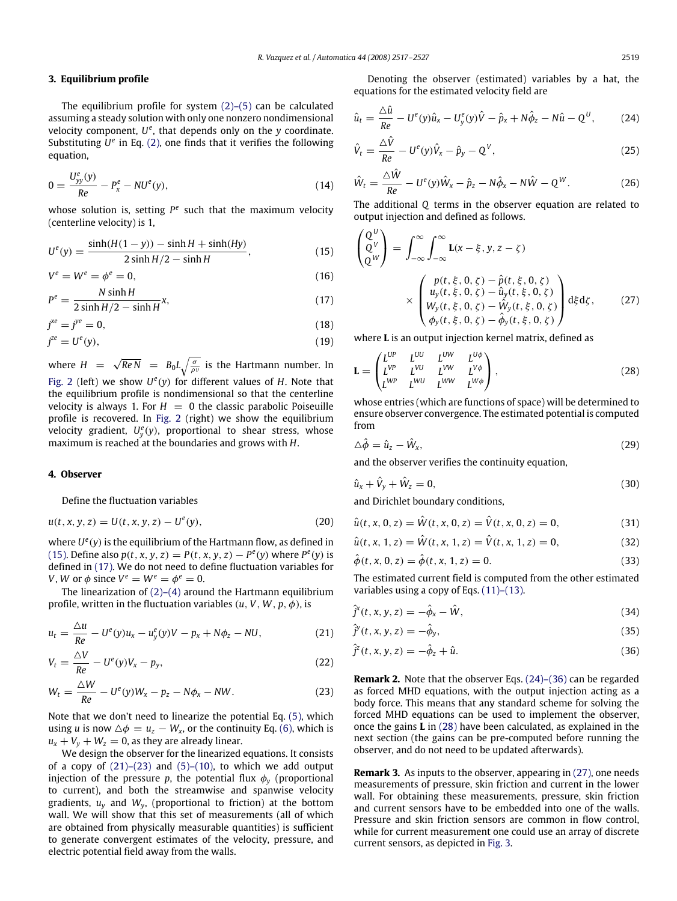#### **3. Equilibrium profile**

The equilibrium profile for system  $(2)$ – $(5)$  can be calculated assuming a steady solution with only one nonzero nondimensional velocity component, U<sup>e</sup>, that depends only on the *y* coordinate. Substituting  $U^e$  in Eq. (2), one finds that it verifies the following equation,

$$
0 = \frac{U_{yy}^e(y)}{Re} - P_x^e - NU^e(y),
$$
\n(14)

whose solution is, setting  $P^e$  such that the maximum velocity (centerline velocity) is 1,

$$
U^{e}(y) = \frac{\sinh(H(1-y)) - \sinh H + \sinh(Hy)}{2\sinh H/2 - \sinh H},
$$
\n(15)

$$
V^e = W^e = \phi^e = 0,\tag{16}
$$

$$
P^{e} = \frac{N \sinh H}{2 \sinh H/2 - \sinh H}x,
$$
\n(17)

$$
j^{xe} = j^{ye} = 0,\tag{18}
$$

$$
j^{ze} = U^e(y),\tag{19}
$$

where  $H = \sqrt{Re N} = B_0 L \sqrt{\frac{\sigma}{\rho v}}$  is the Hartmann number. In Fig. 2 (left) we show  $U^e(y)$  for different values of *H*. Note that the equilibrium profile is nondimensional so that the centerline velocity is always 1. For  $H = 0$  the classic parabolic Poiseuille profile is recovered. In Fig. 2 (right) we show the equilibrium velocity gradient, *U e y* (*y*), proportional to shear stress, whose maximum is reached at the boundaries and grows with *H*.

#### **4. Observer**

Define the fluctuation variables

$$
u(t, x, y, z) = U(t, x, y, z) - U^{e}(y),
$$
\n(20)

where  $U^{e}(y)$  is the equilibrium of the Hartmann flow, as defined in (15). Define also  $p(t, x, y, z) = P(t, x, y, z) - P^{e}(y)$  where  $P^{e}(y)$  is defined in (17). We do not need to define fluctuation variables for *V*, *W* or  $\phi$  since  $V^e = W^e = \phi^e = 0$ .

The linearization of (2)–(4) around the Hartmann equilibrium profile, written in the fluctuation variables  $(u, V, W, p, \phi)$ , is

$$
u_{t} = \frac{\Delta u}{Re} - U^{e}(y)u_{x} - u_{y}^{e}(y)V - p_{x} + N\phi_{z} - NU,
$$
 (21)

$$
V_t = \frac{\Delta V}{Re} - U^e(y)V_x - p_y,
$$
\n(22)

$$
W_t = \frac{\Delta W}{Re} - U^e(y)W_x - p_z - N\phi_x - NW.
$$
\n(23)

Note that we don't need to linearize the potential Eq. (5), which using *u* is now  $\Delta \phi = u_z - W_x$ , or the continuity Eq. (6), which is  $u_x + V_y + W_z = 0$ , as they are already linear.

We design the observer for the linearized equations. It consists of a copy of  $(21)$ – $(23)$  and  $(5)$ – $(10)$ , to which we add output injection of the pressure *p*, the potential flux  $\phi$ <sup>*y*</sup> (proportional to current), and both the streamwise and spanwise velocity gradients,  $u_y$  and  $W_y$ , (proportional to friction) at the bottom wall. We will show that this set of measurements (all of which are obtained from physically measurable quantities) is sufficient to generate convergent estimates of the velocity, pressure, and electric potential field away from the walls.

Denoting the observer (estimated) variables by a hat, the equations for the estimated velocity field are

$$
\hat{u}_t = \frac{\Delta \hat{u}}{Re} - U^e(y)\hat{u}_x - U^e_y(y)\hat{V} - \hat{p}_x + N\hat{\phi}_z - N\hat{u} - Q^U, \qquad (24)
$$

$$
\hat{V}_t = \frac{\Delta \hat{V}}{Re} - U^e(y)\hat{V}_x - \hat{p}_y - Q^V,
$$
\n(25)

$$
\hat{W}_t = \frac{\Delta \hat{W}}{Re} - U^e(y)\hat{W}_x - \hat{p}_z - N\hat{\phi}_x - N\hat{W} - Q^W.
$$
 (26)

The additional *Q* terms in the observer equation are related to output injection and defined as follows.

$$
\begin{pmatrix}\nQ^{U} \\
Q^{V} \\
Q^{W}\n\end{pmatrix} = \int_{-\infty}^{\infty} \int_{-\infty}^{\infty} \mathbf{L}(x - \xi, y, z - \zeta) \\
\times \begin{pmatrix}\np(t, \xi, 0, \zeta) - \hat{p}(t, \xi, 0, \zeta) \\
u_y(t, \xi, 0, \zeta) - \hat{u}_y(t, \xi, 0, \zeta) \\
W_y(t, \xi, 0, \zeta) - \hat{W}_y(t, \xi, 0, \zeta) \\
\phi_y(t, \xi, 0, \zeta) - \hat{\phi}_y(t, \xi, 0, \zeta)\n\end{pmatrix} d\xi d\zeta, \qquad (27)
$$

where **L** is an output injection kernel matrix, defined as

$$
\mathbf{L} = \begin{pmatrix} L^{UP} & L^{UU} & L^{UW} & L^{U\phi} \\ L^{VP} & L^{VU} & L^{WW} & L^{V\phi} \\ L^{WP} & L^{WU} & L^{WW} & L^{W\phi} \end{pmatrix},
$$
 (28)

whose entries (which are functions of space) will be determined to ensure observer convergence. The estimated potential is computed from

$$
\Delta \hat{\phi} = \hat{u}_z - \hat{W}_x,\tag{29}
$$

and the observer verifies the continuity equation,

$$
\hat{u}_x + \hat{V}_y + \hat{W}_z = 0,\tag{30}
$$

and Dirichlet boundary conditions,

$$
\hat{u}(t, x, 0, z) = \hat{W}(t, x, 0, z) = \hat{V}(t, x, 0, z) = 0,
$$
\n(31)

$$
\hat{u}(t, x, 1, z) = \hat{W}(t, x, 1, z) = \hat{V}(t, x, 1, z) = 0,
$$
\n(32)

$$
\hat{\phi}(t, x, 0, z) = \hat{\phi}(t, x, 1, z) = 0.
$$
\n(33)

The estimated current field is computed from the other estimated variables using a copy of Eqs. (11)–(13).

$$
\hat{j}^{x}(t, x, y, z) = -\hat{\phi}_{x} - \hat{W}, \qquad (34)
$$

$$
\hat{j}^y(t, x, y, z) = -\hat{\phi}_y,\tag{35}
$$

$$
\hat{j}^{z}(t, x, y, z) = -\hat{\phi}_{z} + \hat{u}.
$$
\n(36)

**Remark 2.** Note that the observer Eqs. (24)–(36) can be regarded as forced MHD equations, with the output injection acting as a body force. This means that any standard scheme for solving the forced MHD equations can be used to implement the observer, once the gains **L** in (28) have been calculated, as explained in the next section (the gains can be pre-computed before running the observer, and do not need to be updated afterwards).

**Remark 3.** As inputs to the observer, appearing in (27), one needs measurements of pressure, skin friction and current in the lower wall. For obtaining these measurements, pressure, skin friction and current sensors have to be embedded into one of the walls. Pressure and skin friction sensors are common in flow control, while for current measurement one could use an array of discrete current sensors, as depicted in Fig. 3.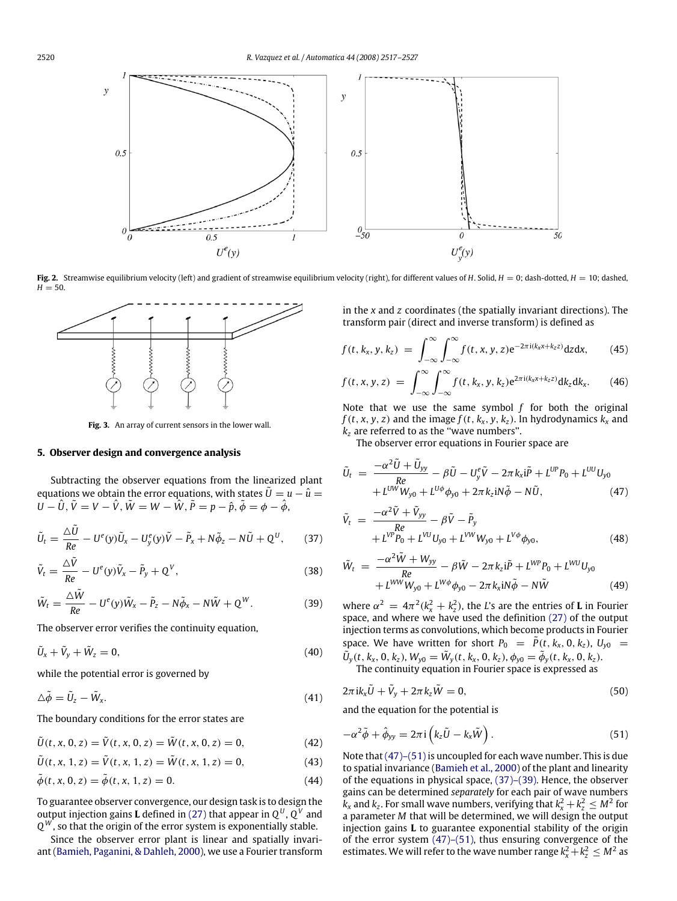

Fig. 2. Streamwise equilibrium velocity (left) and gradient of streamwise equilibrium velocity (right), for different values of *H*. Solid, *H* = 0; dash-dotted, *H* = 10; dashed,  $H = 50.$ 



**Fig. 3.** An array of current sensors in the lower wall.

### **5. Observer design and convergence analysis**

Subtracting the observer equations from the linearized plant equations we obtain the error equations, with states  $\tilde{U} = u - \hat{u} =$  $U - \hat{U}$ ,  $\tilde{V} = V - \hat{V}$ ,  $\tilde{W} = W - \hat{W}$ ,  $\tilde{P} = p - \hat{p}$ ,  $\tilde{\phi} = \phi - \hat{\phi}$ ,

$$
\tilde{U}_t = \frac{\Delta \tilde{U}}{Re} - U^e(y)\tilde{U}_x - U^e_y(y)\tilde{V} - \tilde{P}_x + N\tilde{\phi}_z - N\tilde{U} + Q^U, \qquad (37)
$$

$$
\tilde{V}_t = \frac{\Delta \tilde{V}}{Re} - U^e(y)\tilde{V}_x - \tilde{P}_y + Q^V, \qquad (38)
$$

$$
\tilde{W}_t = \frac{\Delta \tilde{W}}{Re} - U^e(y)\tilde{W}_x - \tilde{P}_z - N\tilde{\phi}_x - N\tilde{W} + Q^W.
$$
\n(39)

The observer error verifies the continuity equation,

$$
\tilde{U}_x + \tilde{V}_y + \tilde{W}_z = 0, \tag{40}
$$

while the potential error is governed by

$$
\Delta \tilde{\phi} = \tilde{U}_z - \tilde{W}_x. \tag{41}
$$

The boundary conditions for the error states are

$$
\tilde{U}(t, x, 0, z) = \tilde{V}(t, x, 0, z) = \tilde{W}(t, x, 0, z) = 0,
$$
\n(42)

 $\tilde{U}(t, x, 1, z) = \tilde{V}(t, x, 1, z) = \tilde{W}(t, x, 1, z) = 0,$ (43)

$$
\tilde{\phi}(t, x, 0, z) = \tilde{\phi}(t, x, 1, z) = 0.
$$
\n(44)

To guarantee observer convergence, our design task is to design the output injection gains **L** defined in (27) that appear in  $\mathsf{Q}^{\text{U}}$  ,  $\mathsf{Q}^{\text{V}}$  and *Q <sup>W</sup>* , so that the origin of the error system is exponentially stable.

Since the observer error plant is linear and spatially invariant (Bamieh, Paganini, & Dahleh, 2000), we use a Fourier transform in the *x* and *z* coordinates (the spatially invariant directions). The transform pair (direct and inverse transform) is defined as

$$
f(t, k_x, y, k_z) = \int_{-\infty}^{\infty} \int_{-\infty}^{\infty} f(t, x, y, z) e^{-2\pi i (k_x x + k_z z)} dz dx, \qquad (45)
$$

$$
f(t, x, y, z) = \int_{-\infty}^{\infty} \int_{-\infty}^{\infty} f(t, k_x, y, k_z) e^{2\pi i (k_x x + k_z z)} dk_z dk_x.
$$
 (46)

Note that we use the same symbol *f* for both the original  $f(t, x, y, z)$  and the image  $f(t, k_x, y, k_z)$ . In hydrodynamics  $k_x$  and *k<sup>z</sup>* are referred to as the ''wave numbers''.

The observer error equations in Fourier space are

$$
\tilde{U}_t = \frac{-\alpha^2 \tilde{U} + \tilde{U}_{yy}}{Re} - \beta \tilde{U} - U_y^e \tilde{V} - 2\pi k_x i \tilde{P} + L^{UP} P_0 + L^{UU} U_{y0}
$$
  
+  $L^{UW} W_{y0} + L^{U\phi} \phi_{y0} + 2\pi k_z i N \tilde{\phi} - N \tilde{U},$  (47)

$$
\tilde{V}_t = \frac{-\alpha^2 \tilde{V} + \tilde{V}_{yy}}{+L^{VP} P_0 + L^{VU} U_{y0} + L^{VW} W_{y0} + L^{V\phi} \phi_{y0}},
$$
\n(48)

$$
\tilde{W}_t = \frac{-\alpha^2 \tilde{W} + W_{yy}}{Re} - \beta \tilde{W} - 2\pi k_z i\tilde{P} + L^{WP} P_0 + L^{WD} U_{y0}
$$

$$
+ L^{WW} W_{y0} + L^{W\phi} \phi_{y0} - 2\pi k_x iN \tilde{\phi} - N \tilde{W}
$$
(49)

where  $\alpha^2 = 4\pi^2 (k_x^2 + k_z^2)$ , the *L*'s are the entries of **L** in Fourier space, and where we have used the definition (27) of the output injection terms as convolutions, which become products in Fourier space. We have written for short  $P_0 = P(t, k_x, 0, k_z)$ ,  $U_{y0} =$  $\tilde{U}_y(t, k_x, 0, k_z)$ ,  $W_{y0} = \tilde{W}_y(t, k_x, 0, k_z)$ ,  $\phi_{y0} = \tilde{\phi}_y(t, k_x, 0, k_z)$ .

The continuity equation in Fourier space is expressed as

$$
2\pi i k_x \tilde{U} + \tilde{V}_y + 2\pi k_z \tilde{W} = 0, \qquad (50)
$$

and the equation for the potential is

$$
-\alpha^2 \tilde{\phi} + \hat{\phi}_{yy} = 2\pi i \left( k_z \tilde{U} - k_x \tilde{W} \right).
$$
 (51)

Note that (47)–(51) is uncoupled for each wave number. This is due to spatial invariance (Bamieh et al., 2000) of the plant and linearity of the equations in physical space, (37)–(39). Hence, the observer gains can be determined *separately* for each pair of wave numbers  $k_x$  and  $k_z$ . For small wave numbers, verifying that  $k_x^2 + k_z^2 \leq M^2$  for a parameter *M* that will be determined, we will design the output injection gains **L** to guarantee exponential stability of the origin of the error system (47)–(51), thus ensuring convergence of the estimates. We will refer to the wave number range  $k_x^2 + k_z^2 \leq M^2$  as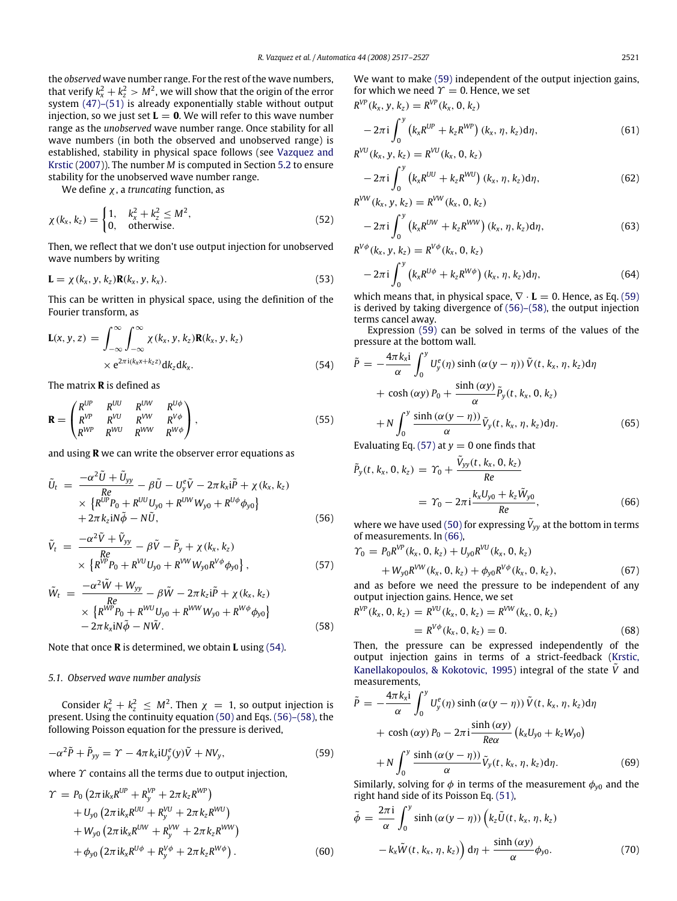the *observed* wave number range. For the rest of the wave numbers, that verify  $k_x^2 + k_z^2 > M^2$ , we will show that the origin of the error system  $(47)$ – $(51)$  is already exponentially stable without output injection, so we just set  $L = 0$ . We will refer to this wave number range as the *unobserved* wave number range. Once stability for all wave numbers (in both the observed and unobserved range) is established, stability in physical space follows (see Vazquez and Krstic (2007)). The number *M* is computed in Section 5.2 to ensure stability for the unobserved wave number range.

We define χ, a *truncating* function, as

$$
\chi(k_x, k_z) = \begin{cases} 1, & k_x^2 + k_z^2 \le M^2, \\ 0, & \text{otherwise.} \end{cases}
$$
 (52)

Then, we reflect that we don't use output injection for unobserved wave numbers by writing

$$
\mathbf{L} = \chi(k_x, y, k_z) \mathbf{R}(k_x, y, k_x). \tag{53}
$$

This can be written in physical space, using the definition of the Fourier transform, as

$$
\mathbf{L}(x, y, z) = \int_{-\infty}^{\infty} \int_{-\infty}^{\infty} \chi(k_x, y, k_z) \mathbf{R}(k_x, y, k_z)
$$
  
×  $e^{2\pi i (k_x x + k_z z)} dk_z dk_x.$  (54)

The matrix **R** is defined as

$$
\mathbf{R} = \begin{pmatrix} R^{UP} & R^{UU} & R^{UW} & R^{U\phi} \\ R^{VP} & R^{VU} & R^{VW} & R^{V\phi} \\ R^{WP} & R^{WU} & R^{WW} & R^{W\phi} \end{pmatrix},
$$
(55)

and using **R** we can write the observer error equations as

$$
\tilde{U}_t = \frac{-\alpha^2 \tilde{U} + \tilde{U}_{yy}}{Re} - \beta \tilde{U} - U_y^e \tilde{V} - 2\pi k_x i \tilde{P} + \chi(k_x, k_z) \times \{R^{UP} P_0 + R^{UU} U_{y0} + R^{UW} W_{y0} + R^{U\phi} \phi_{y0} \} \n+ 2\pi k_z i N \tilde{\phi} - N \tilde{U},
$$
\n(56)

$$
\tilde{V}_{t} = \frac{-\alpha^{2}\tilde{V} + \tilde{V}_{yy}}{Re} - \beta \tilde{V} - \tilde{P}_{y} + \chi(k_{x}, k_{z}) \times \left\{ R^{VP}P_{0} + R^{VU}U_{y0} + R^{VW}W_{y0}R^{V\phi}\phi_{y0} \right\},
$$
\n(57)

$$
\tilde{W}_t = \frac{-\alpha^2 \tilde{W} + W_{yy}}{Re} - \beta \tilde{W} - 2\pi k_z \tilde{P} + \chi(k_x, k_z) \times \{R^{WP}P_0 + R^{WU}U_{y0} + R^{WW}W_{y0} + R^{W\phi}\phi_{y0}\} \n- 2\pi k_x \text{i}N\tilde{\phi} - N\tilde{W}.
$$
\n(58)

Note that once **R** is determined, we obtain **L** using (54).

#### *5.1. Observed wave number analysis*

Consider  $k_x^2 + k_z^2 \leq M^2$ . Then  $\chi = 1$ , so output injection is present. Using the continuity equation (50) and Eqs. (56)–(58), the following Poisson equation for the pressure is derived,

$$
-\alpha^2 \tilde{P} + \tilde{P}_{yy} = \Upsilon - 4\pi k_x i U_y^e(y)\tilde{V} + NV_y,
$$
\n(59)

where  $\gamma$  contains all the terms due to output injection,

$$
\gamma = P_0 \left( 2\pi i k_x R^{UP} + R_y^{VP} + 2\pi k_z R^{WP} \right) \n+ U_{y0} \left( 2\pi i k_x R^{UU} + R_y^{VU} + 2\pi k_z R^{WU} \right) \n+ W_{y0} \left( 2\pi i k_x R^{UW} + R_y^{VW} + 2\pi k_z R^{WW} \right) \n+ \phi_{y0} \left( 2\pi i k_x R^{U\phi} + R_y^{V\phi} + 2\pi k_z R^{W\phi} \right).
$$
\n(60)

We want to make (59) independent of the output injection gains, for which we need  $\Upsilon = 0$ . Hence, we set

$$
R^{VP}(k_x, y, k_z) = R^{VP}(k_x, 0, k_z)
$$
  
- 2\pi i  $\int_0^y (k_x R^{UP} + k_z R^{WP}) (k_x, \eta, k_z) d\eta$ , (61)

$$
R^{VU}(k_x, y, k_z) = R^{VU}(k_x, 0, k_z)
$$
  
- 2\pi i  $\int_0^y (k_x R^{UU} + k_z R^{WU}) (k_x, \eta, k_z) d\eta$ , (62)

$$
R^{VW}(k_x, y, k_z) = R^{VW}(k_x, 0, k_z)
$$
  
- 2\pi i  $\int_0^y (k_x R^{UW} + k_z R^{WW}) (k_x, \eta, k_z) d\eta,$  (63)

$$
R^{V\phi}(k_x, y, k_z) = R^{V\phi}(k_x, 0, k_z)
$$
  
- 2\pi i  $\int_0^y (k_x R^{U\phi} + k_z R^{W\phi}) (k_x, \eta, k_z) d\eta,$  (64)

which means that, in physical space,  $\nabla$  ⋅ **L** = 0. Hence, as Eq. (59) is derived by taking divergence of (56)–(58), the output injection terms cancel away.

Expression (59) can be solved in terms of the values of the pressure at the bottom wall.

$$
\tilde{P} = -\frac{4\pi k_{x}i}{\alpha} \int_{0}^{y} U_{y}^{e}(\eta) \sinh(\alpha(y - \eta)) \tilde{V}(t, k_{x}, \eta, k_{z}) d\eta
$$

$$
+ \cosh(\alpha y) P_{0} + \frac{\sinh(\alpha y)}{\alpha} \tilde{P}_{y}(t, k_{x}, 0, k_{z})
$$

$$
+ N \int_{0}^{y} \frac{\sinh(\alpha(y - \eta))}{\alpha} \tilde{V}_{y}(t, k_{x}, \eta, k_{z}) d\eta.
$$
(65)

Evaluating Eq. (57) at  $y = 0$  one finds that

$$
\tilde{P}_y(t, k_x, 0, k_z) = \Upsilon_0 + \frac{\tilde{V}_{yy}(t, k_x, 0, k_z)}{Re}
$$
  
=  $\Upsilon_0 - 2\pi i \frac{k_x U_{y0} + k_z \tilde{W}_{y0}}{Re},$  (66)

where we have used (50) for expressing  $\tilde{V}_{yy}$  at the bottom in terms of measurements. In (66),

$$
\begin{split} \Upsilon_0 &= P_0 R^{VP}(k_x, 0, k_z) + U_{y0} R^{VU}(k_x, 0, k_z) \\ &+ W_{y0} R^{VW}(k_x, 0, k_z) + \phi_{y0} R^{V\phi}(k_x, 0, k_z), \end{split} \tag{67}
$$

and as before we need the pressure to be independent of any output injection gains. Hence, we set

$$
R^{VP}(k_x, 0, k_z) = R^{VU}(k_x, 0, k_z) = R^{VW}(k_x, 0, k_z)
$$
  
=  $R^{V\phi}(k_x, 0, k_z) = 0.$  (68)

Then, the pressure can be expressed independently of the output injection gains in terms of a strict-feedback (Krstic, Kanellakopoulos, & Kokotovic, 1995) integral of the state *<sup>V</sup>*˜ and measurements,

$$
\tilde{P} = -\frac{4\pi k_{x}i}{\alpha} \int_{0}^{y} U_{y}^{e}(\eta) \sinh(\alpha(y-\eta)) \tilde{V}(t, k_{x}, \eta, k_{z}) d\eta
$$

$$
+ \cosh(\alpha y) P_{0} - 2\pi i \frac{\sinh(\alpha y)}{Re\alpha} (k_{x}U_{y0} + k_{z}W_{y0})
$$

$$
+ N \int_{0}^{y} \frac{\sinh(\alpha(y-\eta))}{\alpha} \tilde{V}_{y}(t, k_{x}, \eta, k_{z}) d\eta.
$$
(69)

Similarly, solving for  $\phi$  in terms of the measurement  $\phi_{y0}$  and the right hand side of its Poisson Eq. (51),

$$
\tilde{\phi} = \frac{2\pi i}{\alpha} \int_0^y \sinh(\alpha(y - \eta)) \left( k_z \tilde{U}(t, k_x, \eta, k_z) - k_x \tilde{W}(t, k_x, \eta, k_z) \right) d\eta + \frac{\sinh(\alpha y)}{\alpha} \phi_{y0}.
$$
\n(70)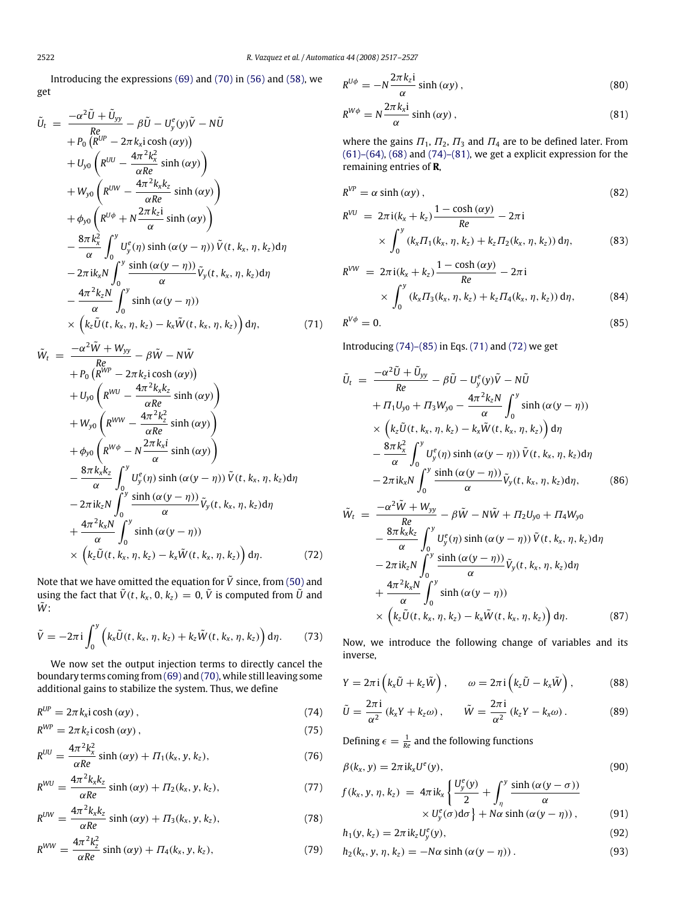Introducing the expressions (69) and (70) in (56) and (58), we get

$$
\tilde{U}_{t} = \frac{-\alpha^{2}\tilde{U} + \tilde{U}_{yy}}{Re} - \beta \tilde{U} - U_{y}^{e}(y)\tilde{V} - N\tilde{U}
$$
\n
$$
+ P_{0} (R^{UP} - 2\pi k_{x} i \cosh(\alpha y))
$$
\n
$$
+ U_{y0} (R^{UU} - \frac{4\pi^{2}k_{x}^{2}}{\alpha Re} \sinh(\alpha y))
$$
\n
$$
+ W_{y0} (R^{UU} - \frac{4\pi^{2}k_{x}k_{z}}{\alpha Re} \sinh(\alpha y))
$$
\n
$$
+ \phi_{y0} (R^{U\phi} + N \frac{2\pi k_{z} i}{\alpha} \sinh(\alpha y))
$$
\n
$$
- \frac{8\pi k_{x}^{2}}{\alpha} \int_{0}^{y} U_{y}^{e}(\eta) \sinh(\alpha (y - \eta)) \tilde{V}(t, k_{x}, \eta, k_{z}) d\eta
$$
\n
$$
- 2\pi i k_{x} N \int_{0}^{y} \frac{\sinh(\alpha (y - \eta))}{\alpha} \tilde{V}_{y}(t, k_{x}, \eta, k_{z}) d\eta
$$
\n
$$
- \frac{4\pi^{2}k_{z}N}{\alpha} \int_{0}^{y} \sinh(\alpha (y - \eta))
$$
\n
$$
\times (k_{z} \tilde{U}(t, k_{x}, \eta, k_{z}) - k_{x} \tilde{W}(t, k_{x}, \eta, k_{z})) d\eta, \qquad (71)
$$

$$
\tilde{W}_t = \frac{-\alpha^2 \tilde{W} + W_{yy}}{Re} - \beta \tilde{W} - N \tilde{W}
$$
\n
$$
+ P_0 \left( R^{WP} - 2\pi k_z i \cosh(\alpha y) \right)
$$
\n
$$
+ U_{y0} \left( R^{WU} - \frac{4\pi^2 k_x k_z}{\alpha Re} \sinh(\alpha y) \right)
$$
\n
$$
+ W_{y0} \left( R^{WW} - \frac{4\pi^2 k_z^2}{\alpha Re} \sinh(\alpha y) \right)
$$
\n
$$
+ \phi_{y0} \left( R^{W\phi} - N \frac{2\pi k_x i}{\alpha} \sinh(\alpha y) \right)
$$
\n
$$
- \frac{8\pi k_x k_z}{\alpha} \int_0^y U_y^e(\eta) \sinh(\alpha (y - \eta)) \tilde{V}(t, k_x, \eta, k_z) d\eta
$$
\n
$$
- 2\pi i k_z N \int_0^y \frac{\sinh(\alpha (y - \eta))}{\alpha} \tilde{V}_y(t, k_x, \eta, k_z) d\eta
$$
\n
$$
+ \frac{4\pi^2 k_x N}{\alpha} \int_0^y \sinh(\alpha (y - \eta))
$$
\n
$$
\times \left( k_z \tilde{U}(t, k_x, \eta, k_z) - k_x \tilde{W}(t, k_x, \eta, k_z) \right) d\eta.
$$
\n(72)

Note that we have omitted the equation for  $\tilde{V}$  since, from (50) and using the fact that  $\tilde{V}(t, k_x, 0, k_z) = 0$ ,  $\tilde{V}$  is computed from  $\tilde{U}$  and  $\tilde{W}$ :

$$
\tilde{V} = -2\pi i \int_0^y \left( k_x \tilde{U}(t, k_x, \eta, k_z) + k_z \tilde{W}(t, k_x, \eta, k_z) \right) d\eta. \tag{73}
$$

We now set the output injection terms to directly cancel the boundary terms coming from (69) and (70), while still leaving some additional gains to stabilize the system. Thus, we define

$$
R^{UP} = 2\pi k_x i \cosh(\alpha y) , \qquad (74)
$$

$$
R^{WP} = 2\pi k_z i \cosh(\alpha y) , \qquad (75)
$$

$$
R^{UU} = \frac{4\pi^2 k_x^2}{\alpha Re} \sinh(\alpha y) + \Pi_1(k_x, y, k_z),\tag{76}
$$

$$
R^{WU} = \frac{4\pi^2 k_x k_z}{\alpha Re} \sinh(\alpha y) + \Pi_2(k_x, y, k_z), \qquad (77)
$$

$$
R^{UW} = \frac{4\pi^2 k_x k_z}{\alpha Re} \sinh(\alpha y) + \Pi_3(k_x, y, k_z),
$$
 (78)

$$
R^{WW} = \frac{4\pi^2 k_z^2}{\alpha Re} \sinh(\alpha y) + \Pi_4(k_x, y, k_z), \qquad (79)
$$

$$
R^{U\phi} = -N\frac{2\pi k_z i}{\alpha}\sinh\left(\alpha y\right),\tag{80}
$$

$$
R^{W\phi} = N \frac{2\pi k_x i}{\alpha} \sinh(\alpha y) , \qquad (81)
$$

where the gains  $\Pi_1$ ,  $\Pi_2$ ,  $\Pi_3$  and  $\Pi_4$  are to be defined later. From  $(61)$ – $(64)$ ,  $(68)$  and  $(74)$ – $(81)$ , we get a explicit expression for the remaining entries of **R**,

$$
R^{VP} = \alpha \sinh(\alpha y) \,,\tag{82}
$$

$$
R^{VU} = 2\pi i (k_x + k_z) \frac{1 - \cosh(\alpha y)}{Re} - 2\pi i
$$
  
 
$$
\times \int_0^y (k_x \Pi_1(k_x, \eta, k_z) + k_z \Pi_2(k_x, \eta, k_z)) d\eta,
$$
 (83)

$$
R^{VW} = 2\pi i (k_x + k_z) \frac{1 - \cosh(\alpha y)}{Re} - 2\pi i
$$
  
 
$$
\times \int_0^y (k_x \Pi_3(k_x, \eta, k_z) + k_z \Pi_4(k_x, \eta, k_z)) d\eta,
$$
 (84)

$$
R^{V\phi} = 0. \tag{85}
$$

Introducing (74)–(85) in Eqs. (71) and (72) we get

$$
\tilde{U}_t = \frac{-\alpha^2 \tilde{U} + \tilde{U}_{yy}}{Re} - \beta \tilde{U} - U_y^e(y)\tilde{V} - N\tilde{U}
$$
\n
$$
+ \Pi_1 U_{y0} + \Pi_3 W_{y0} - \frac{4\pi^2 k_z N}{\alpha} \int_0^y \sinh(\alpha (y - \eta))
$$
\n
$$
\times \left(k_z \tilde{U}(t, k_x, \eta, k_z) - k_x \tilde{W}(t, k_x, \eta, k_z)\right) d\eta
$$
\n
$$
- \frac{8\pi k_x^2}{\alpha} \int_0^y U_y^e(\eta) \sinh(\alpha (y - \eta)) \tilde{V}(t, k_x, \eta, k_z) d\eta
$$
\n
$$
- 2\pi i k_x N \int_0^y \frac{\sinh(\alpha (y - \eta))}{\alpha} \tilde{V}_y(t, k_x, \eta, k_z) d\eta,
$$
\n(86)

$$
\tilde{W}_t = \frac{-\alpha^2 \tilde{W} + W_{yy}}{Re} - \beta \tilde{W} - N \tilde{W} + \Pi_2 U_{y0} + \Pi_4 W_{y0} \n- \frac{8\pi k_x k_z}{\alpha} \int_0^y U_y^e(\eta) \sinh(\alpha (y - \eta)) \tilde{V}(t, k_x, \eta, k_z) d\eta \n- 2\pi i k_z N \int_0^y \frac{\sinh(\alpha (y - \eta))}{\alpha} \tilde{V}_y(t, k_x, \eta, k_z) d\eta \n+ \frac{4\pi^2 k_x N}{\alpha} \int_0^y \sinh(\alpha (y - \eta)) \n\times (k_z \tilde{U}(t, k_x, \eta, k_z) - k_x \tilde{W}(t, k_x, \eta, k_z)) d\eta.
$$
\n(87)

Now, we introduce the following change of variables and its inverse,

$$
Y = 2\pi i \left( k_x \tilde{U} + k_z \tilde{W} \right), \qquad \omega = 2\pi i \left( k_z \tilde{U} - k_x \tilde{W} \right), \tag{88}
$$

$$
\tilde{U} = \frac{2\pi i}{\alpha^2} (k_x Y + k_z \omega), \qquad \tilde{W} = \frac{2\pi i}{\alpha^2} (k_z Y - k_x \omega). \tag{89}
$$

Defining  $\epsilon = \frac{1}{Re}$  and the following functions

$$
\beta(k_x, y) = 2\pi i k_x U^e(y),\tag{90}
$$

$$
f(k_x, y, \eta, k_z) = 4\pi i k_x \left\{ \frac{U_y^e(y)}{2} + \int_{\eta}^{y} \frac{\sinh(\alpha(y - \sigma))}{\alpha} \times U_y^e(\sigma) d\sigma \right\} + N\alpha \sinh(\alpha(y - \eta)), \tag{91}
$$

$$
h_1(y, k_z) = 2\pi i k_z U_y^e(y),
$$
\n(92)

$$
h_2(k_x, y, \eta, k_z) = -N\alpha \sinh(\alpha (y - \eta)).
$$
\n(93)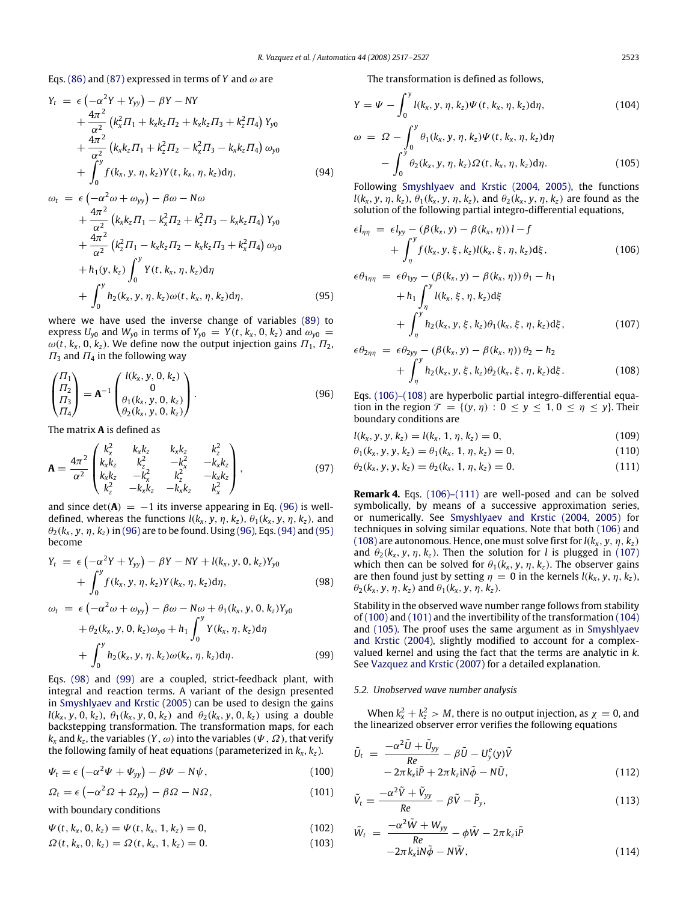Eqs. (86) and (87) expressed in terms of *Y* and  $\omega$  are

$$
Y_{t} = \epsilon \left( -\alpha^{2} Y + Y_{yy} \right) - \beta Y - NY + \frac{4\pi^{2}}{\alpha^{2}} \left( k_{x}^{2} \Pi_{1} + k_{x} k_{z} \Pi_{2} + k_{x} k_{z} \Pi_{3} + k_{z}^{2} \Pi_{4} \right) Y_{y0} + \frac{4\pi^{2}}{\alpha^{2}} \left( k_{x} k_{z} \Pi_{1} + k_{z}^{2} \Pi_{2} - k_{x}^{2} \Pi_{3} - k_{x} k_{z} \Pi_{4} \right) \omega_{y0} + \int_{0}^{y} f(k_{x}, y, \eta, k_{z}) Y(t, k_{x}, \eta, k_{z}) d\eta, \qquad (94)
$$

$$
\omega_{t} = \epsilon \left( -\alpha^{2} \omega + \omega_{yy} \right) - \beta \omega - N \omega \n+ \frac{4\pi^{2}}{\alpha^{2}} \left( k_{x} k_{z} \Pi_{1} - k_{x}^{2} \Pi_{2} + k_{z}^{2} \Pi_{3} - k_{x} k_{z} \Pi_{4} \right) Y_{y0} \n+ \frac{4\pi^{2}}{\alpha^{2}} \left( k_{z}^{2} \Pi_{1} - k_{x} k_{z} \Pi_{2} - k_{x} k_{z} \Pi_{3} + k_{x}^{2} \Pi_{4} \right) \omega_{y0} \n+ h_{1}(y, k_{z}) \int_{0}^{y} Y(t, k_{x}, \eta, k_{z}) d\eta \n+ \int_{0}^{y} h_{2}(k_{x}, y, \eta, k_{z}) \omega(t, k_{x}, \eta, k_{z}) d\eta,
$$
\n(95)

where we have used the inverse change of variables (89) to express  $U_{y0}$  and  $W_{y0}$  in terms of  $Y_{y0} = Y(t, k_x, 0, k_z)$  and  $\omega_{y0} =$  $\omega(t, k_x, 0, k_z)$ . We define now the output injection gains  $\Pi_1, \Pi_2$ ,  $\Pi_3$  and  $\Pi_4$  in the following way

$$
\begin{pmatrix}\n\Pi_1 \\
\Pi_2 \\
\Pi_3 \\
\Pi_4\n\end{pmatrix} = \mathbf{A}^{-1} \begin{pmatrix}\nI(k_x, y, 0, k_z) \\
0 \\
\theta_1(k_x, y, 0, k_z) \\
\theta_2(k_x, y, 0, k_z)\n\end{pmatrix}.
$$
\n(96)

The matrix **A** is defined as

$$
\mathbf{A} = \frac{4\pi^2}{\alpha^2} \begin{pmatrix} k_x^2 & k_x k_z & k_x k_z & k_z^2 \\ k_x k_z & k_z^2 & -k_x^2 & -k_x k_z \\ k_x k_z & -k_x^2 & k_z^2 & -k_x k_z \\ k_z^2 & -k_x k_z & -k_x k_z & k_x^2 \end{pmatrix},
$$
(97)

and since  $det(A) = -1$  its inverse appearing in Eq. (96) is welldefined, whereas the functions  $l(k_x, y, \eta, k_z)$ ,  $\theta_1(k_x, y, \eta, k_z)$ , and  $\theta_2(k_x, y, \eta, k_z)$  in (96) are to be found. Using (96), Eqs. (94) and (95) become

$$
Y_{t} = \epsilon \left( -\alpha^{2} Y + Y_{yy} \right) - \beta Y - NY + l(k_{x}, y, 0, k_{z}) Y_{y0} + \int_{0}^{y} f(k_{x}, y, \eta, k_{z}) Y(k_{x}, \eta, k_{z}) d\eta, \qquad (98)
$$

$$
\omega_t = \epsilon \left( -\alpha^2 \omega + \omega_{yy} \right) - \beta \omega - N\omega + \theta_1(k_x, y, 0, k_z) Y_{y0}
$$
  
+ 
$$
\theta_2(k_x, y, 0, k_z) \omega_{y0} + h_1 \int_0^y Y(k_x, \eta, k_z) d\eta
$$
  
+ 
$$
\int_0^y h_2(k_x, y, \eta, k_z) \omega(k_x, \eta, k_z) d\eta.
$$
 (99)

Eqs. (98) and (99) are a coupled, strict-feedback plant, with integral and reaction terms. A variant of the design presented in Smyshlyaev and Krstic (2005) can be used to design the gains  $l(k_x, y, 0, k_z)$ ,  $\theta_1(k_x, y, 0, k_z)$  and  $\theta_2(k_x, y, 0, k_z)$  using a double backstepping transformation. The transformation maps, for each  $k_{\mathsf{x}}$  and  $k_{\mathsf{z}}$ , the variables  $(Y,\omega)$  into the variables  $(\varPsi,\varOmega)$ , that verify the following family of heat equations (parameterized in *k<sup>x</sup>* , *k<sup>z</sup>* ).

$$
\Psi_t = \epsilon \left( -\alpha^2 \Psi + \Psi_{yy} \right) - \beta \Psi - N \psi, \qquad (100)
$$

$$
\Omega_t = \epsilon \left( -\alpha^2 \Omega + \Omega_{yy} \right) - \beta \Omega - N \Omega, \qquad (101)
$$

with boundary conditions

$$
\Psi(t, k_x, 0, k_z) = \Psi(t, k_x, 1, k_z) = 0, \qquad (102)
$$

$$
\Omega(t, k_x, 0, k_z) = \Omega(t, k_x, 1, k_z) = 0.
$$
\n(103)

The transformation is defined as follows,

$$
Y = \Psi - \int_0^y l(k_x, y, \eta, k_z) \Psi(t, k_x, \eta, k_z) d\eta,
$$
\n(104)  
\n
$$
\omega = \Omega - \int_0^y \theta_1(k_x, y, \eta, k_z) \Psi(t, k_x, \eta, k_z) d\eta
$$
\n
$$
- \int_0^y \theta_2(k_x, y, \eta, k_z) \Omega(t, k_x, \eta, k_z) d\eta.
$$
\n(105)

Following Smyshlyaev and Krstic (2004, 2005), the functions  $l(k_x, y, \eta, k_z)$ ,  $\theta_1(k_x, y, \eta, k_z)$ , and  $\theta_2(k_x, y, \eta, k_z)$  are found as the solution of the following partial integro-differential equations,

$$
\epsilon l_{\eta\eta} = \epsilon l_{yy} - (\beta(k_x, y) - \beta(k_x, \eta)) l - f + \int_{\eta}^{y} f(k_x, y, \xi, k_z) l(k_x, \xi, \eta, k_z) d\xi,
$$
 (106)

$$
\epsilon \theta_{1\eta\eta} = \epsilon \theta_{1yy} - (\beta(k_x, y) - \beta(k_x, \eta)) \theta_1 - h_1
$$
  
+ 
$$
h_1 \int_{\eta}^{y} l(k_x, \xi, \eta, k_z) d\xi
$$
  
+ 
$$
\int_{\eta}^{y} h_2(k_x, y, \xi, k_z) \theta_1(k_x, \xi, \eta, k_z) d\xi,
$$
 (107)

$$
\epsilon \theta_{2\eta\eta} = \epsilon \theta_{2yy} - (\beta(k_x, y) - \beta(k_x, \eta)) \theta_2 - h_2
$$
  
+ 
$$
\int_{\eta}^{y} h_2(k_x, y, \xi, k_z) \theta_2(k_x, \xi, \eta, k_z) d\xi.
$$
 (108)

Eqs. (106)–(108) are hyperbolic partial integro-differential equation in the region  $\mathcal{T} = \{(y, \eta) : 0 \le y \le 1, 0 \le \eta \le y\}$ . Their boundary conditions are

$$
l(k_x, y, y, k_z) = l(k_x, 1, \eta, k_z) = 0,
$$
\n(109)

$$
\theta_1(k_x, y, y, k_z) = \theta_1(k_x, 1, \eta, k_z) = 0,
$$
\n(110)

$$
\theta_2(k_x, y, y, k_z) = \theta_2(k_x, 1, \eta, k_z) = 0.
$$
\n(111)

**Remark 4.** Eqs. (106)–(111) are well-posed and can be solved symbolically, by means of a successive approximation series, or numerically. See Smyshlyaev and Krstic (2004, 2005) for techniques in solving similar equations. Note that both (106) and (108) are autonomous. Hence, one must solve first for  $l(k_x, y, \eta, k_z)$ and  $\theta_2(k_x, y, \eta, k_z)$ . Then the solution for *l* is plugged in (107) which then can be solved for  $\theta_1(k_x, y, \eta, k_z)$ . The observer gains are then found just by setting  $\eta = 0$  in the kernels  $l(k_x, y, \eta, k_z)$ ,  $\theta_2(k_x, y, \eta, k_z)$  and  $\theta_1(k_x, y, \eta, k_z)$ .

Stability in the observed wave number range follows from stability of (100) and (101) and the invertibility of the transformation (104) and (105). The proof uses the same argument as in Smyshlyaev and Krstic (2004), slightly modified to account for a complexvalued kernel and using the fact that the terms are analytic in *k*. See Vazquez and Krstic (2007) for a detailed explanation.

#### *5.2. Unobserved wave number analysis*

When  $k_x^2 + k_z^2 > M$ , there is no output injection, as  $\chi = 0$ , and the linearized observer error verifies the following equations

$$
\tilde{U}_t = \frac{-\alpha^2 \tilde{U} + \tilde{U}_{yy}}{Re} - \beta \tilde{U} - U_y^e(y)\tilde{V} \n-2\pi k_x \mathbf{i}\tilde{P} + 2\pi k_z \mathbf{i}N\tilde{\phi} - N\tilde{U},
$$
\n(112)

$$
\tilde{V}_t = \frac{-\alpha^2 \tilde{V} + \tilde{V}_{yy}}{Re} - \beta \tilde{V} - \tilde{P}_y,\tag{113}
$$

$$
\tilde{W}_t = \frac{-\alpha^2 \tilde{W} + W_{yy}}{Re} - \phi \tilde{W} - 2\pi k_z i \tilde{P}
$$
\n
$$
-2\pi k_x i N \tilde{\phi} - N \tilde{W},
$$
\n(114)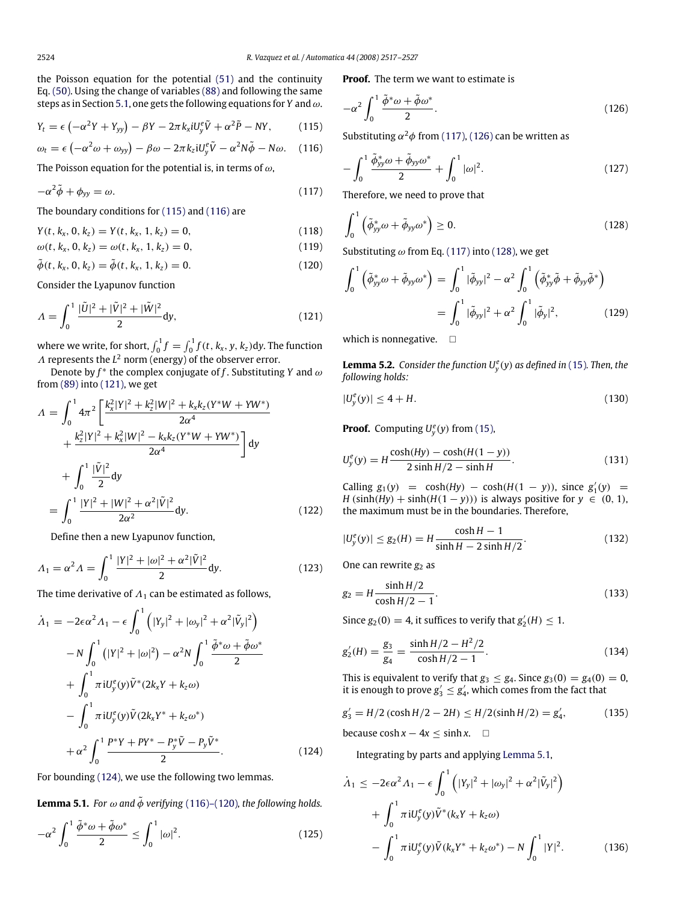the Poisson equation for the potential (51) and the continuity Eq. (50). Using the change of variables (88) and following the same steps as in Section 5.1, one gets the following equations for *Y* and  $\omega$ .

$$
Y_t = \epsilon \left( -\alpha^2 Y + Y_{yy} \right) - \beta Y - 2\pi k_x i U_y^e \tilde{V} + \alpha^2 \tilde{P} - NY, \qquad (115)
$$

$$
\omega_t = \epsilon \left( -\alpha^2 \omega + \omega_{yy} \right) - \beta \omega - 2\pi k_z \mathrm{i} U_y^e \tilde{V} - \alpha^2 N \tilde{\phi} - N \omega. \quad (116)
$$

The Poisson equation for the potential is, in terms of  $\omega$ ,

$$
-\alpha^2 \tilde{\phi} + \phi_{yy} = \omega. \tag{117}
$$

The boundary conditions for (115) and (116) are

$$
Y(t, k_x, 0, k_z) = Y(t, k_x, 1, k_z) = 0,
$$
\n(118)

$$
\omega(t, k_x, 0, k_z) = \omega(t, k_x, 1, k_z) = 0,
$$
\n(119)

$$
\tilde{\phi}(t, k_x, 0, k_z) = \tilde{\phi}(t, k_x, 1, k_z) = 0.
$$
\n(120)

Consider the Lyapunov function

$$
\Lambda = \int_0^1 \frac{|\tilde{U}|^2 + |\tilde{V}|^2 + |\tilde{W}|^2}{2} dy,
$$
\n(121)

where we write, for short,  $\int_0^1 f = \int_0^1 f(t, k_x, y, k_z)$ dy. The function  $\Lambda$  represents the  $L^2$  norm (energy) of the observer error.

Denote by  $f^*$  the complex conjugate of f. Substituting *Y* and  $\omega$ from (89) into (121), we get

$$
\Lambda = \int_0^1 4\pi^2 \left[ \frac{k_x^2 |Y|^2 + k_z^2 |W|^2 + k_x k_z (Y^* W + Y W^*)}{2\alpha^4} + \frac{k_z^2 |Y|^2 + k_x^2 |W|^2 - k_x k_z (Y^* W + Y W^*)}{2\alpha^4} \right] dy
$$
  
+ 
$$
\int_0^1 \frac{|\tilde{V}|^2}{2} dy
$$
  
= 
$$
\int_0^1 \frac{|Y|^2 + |W|^2 + \alpha^2 |\tilde{V}|^2}{2\alpha^2} dy.
$$
 (122)

Define then a new Lyapunov function,

$$
A_1 = \alpha^2 A = \int_0^1 \frac{|Y|^2 + |\omega|^2 + \alpha^2 |\tilde{V}|^2}{2} dy.
$$
 (123)

The time derivative of  $\Lambda_1$  can be estimated as follows,

$$
\dot{\Lambda}_{1} = -2\epsilon\alpha^{2}\Lambda_{1} - \epsilon \int_{0}^{1} (|Y_{y}|^{2} + |\omega_{y}|^{2} + \alpha^{2}|\tilde{V}_{y}|^{2})
$$

$$
- N \int_{0}^{1} (|Y|^{2} + |\omega|^{2}) - \alpha^{2}N \int_{0}^{1} \frac{\tilde{\phi}^{*}\omega + \tilde{\phi}\omega^{*}}{2}
$$

$$
+ \int_{0}^{1} \pi iU_{y}^{e}(y)\tilde{V}^{*}(2k_{x}Y + k_{z}\omega)
$$

$$
- \int_{0}^{1} \pi iU_{y}^{e}(y)\tilde{V}(2k_{x}Y^{*} + k_{z}\omega^{*})
$$

$$
+ \alpha^{2} \int_{0}^{1} \frac{P^{*}Y + PY^{*} - P_{y}^{*}\tilde{V} - P_{y}\tilde{V}^{*}}{2}.
$$
(124)

For bounding (124), we use the following two lemmas.

**Lemma 5.1.** *For*  $\omega$  *and*  $\tilde{\phi}$  *verifying* (116)–(120)*, the following holds.* 

$$
-\alpha^2 \int_0^1 \frac{\tilde{\phi}^* \omega + \tilde{\phi} \omega^*}{2} \le \int_0^1 |\omega|^2. \tag{125}
$$

**Proof.** The term we want to estimate is

$$
-\alpha^2 \int_0^1 \frac{\tilde{\phi}^* \omega + \tilde{\phi} \omega^*}{2}.
$$
 (126)

Substituting  $\alpha^2 \phi$  from (117), (126) can be written as

$$
-\int_0^1 \frac{\tilde{\phi}_{yy}^* \omega + \tilde{\phi}_{yy} \omega^*}{2} + \int_0^1 |\omega|^2.
$$
 (127)

Therefore, we need to prove that

$$
\int_0^1 \left( \tilde{\phi}_{yy}^* \omega + \tilde{\phi}_{yy} \omega^* \right) \ge 0. \tag{128}
$$

Substituting  $\omega$  from Eq. (117) into (128), we get

$$
\int_0^1 \left( \tilde{\phi}_{yy}^* \omega + \tilde{\phi}_{yy} \omega^* \right) = \int_0^1 |\tilde{\phi}_{yy}|^2 - \alpha^2 \int_0^1 \left( \tilde{\phi}_{yy}^* \tilde{\phi} + \tilde{\phi}_{yy} \tilde{\phi}^* \right)
$$

$$
= \int_0^1 |\tilde{\phi}_{yy}|^2 + \alpha^2 \int_0^1 |\tilde{\phi}_{y}|^2, \tag{129}
$$

which is nonnegative.  $\square$ 

**Lemma 5.2.** *Consider the function*  $U_y^e(y)$  *as defined in* (15)*. Then, the following holds:*

$$
|U_y^e(y)| \le 4 + H. \tag{130}
$$

**Proof.** Computing  $U_y^e(y)$  from (15),

$$
U_y^e(y) = H \frac{\cosh(Hy) - \cosh(H(1 - y))}{2 \sinh H/2 - \sinh H}.
$$
 (131)

Calling  $g_1(y) = \cosh(Hy) - \cosh(H(1 - y))$ , since  $g'_1(y) =$ *H* (sinh(*Hy*) + sinh(*H*(1 − *y*))) is always positive for  $y \in (0, 1)$ , the maximum must be in the boundaries. Therefore,

$$
|U_y^e(y)| \le g_2(H) = H \frac{\cosh H - 1}{\sinh H - 2\sinh H/2}.
$$
 (132)

One can rewrite  $g_2$  as

$$
g_2 = H \frac{\sinh H/2}{\cosh H/2 - 1}.
$$
\n(133)

Since  $g_2(0) = 4$ , it suffices to verify that  $g'_2(H) \leq 1$ .

$$
g_2'(H) = \frac{g_3}{g_4} = \frac{\sinh H/2 - H^2/2}{\cosh H/2 - 1}.
$$
\n(134)

This is equivalent to verify that  $g_3 \leq g_4$ . Since  $g_3(0) = g_4(0) = 0$ , it is enough to prove  $g'_3 \leq g'_4$ , which comes from the fact that

$$
g_3' = H/2 \left(\cosh H/2 - 2H\right) \le H/2(\sinh H/2) = g_4',\tag{135}
$$

because  $\cosh x - 4x \leq \sinh x$ .  $\square$ 

Integrating by parts and applying Lemma 5.1,

$$
\dot{\Lambda}_1 \le -2\epsilon \alpha^2 \Lambda_1 - \epsilon \int_0^1 \left( |Y_y|^2 + |\omega_y|^2 + \alpha^2 |\tilde{V}_y|^2 \right) \n+ \int_0^1 \pi i U_y^e(y) \tilde{V}^*(k_x Y + k_z \omega) \n- \int_0^1 \pi i U_y^e(y) \tilde{V}(k_x Y^* + k_z \omega^*) - N \int_0^1 |Y|^2.
$$
\n(136)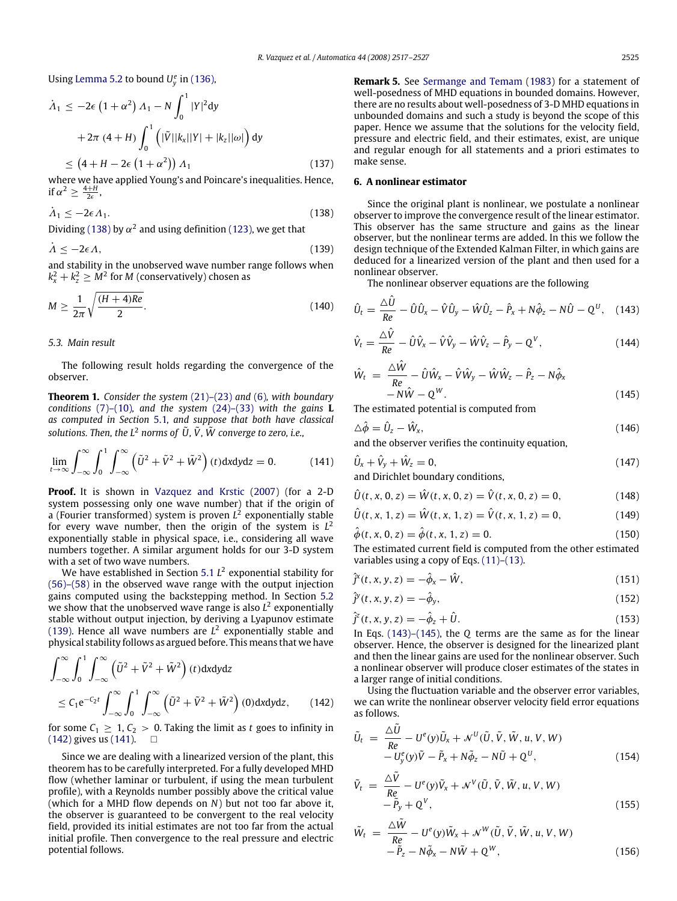Using Lemma 5.2 to bound  $U_y^e$  in (136),

$$
\dot{\Lambda}_1 \le -2\epsilon \left(1+\alpha^2\right) \Lambda_1 - N \int_0^1 |Y|^2 dy
$$
  
+2\pi (4+H) 
$$
\int_0^1 \left(|\tilde{V}||k_x||Y| + |k_z||\omega|\right) dy
$$
  
\$\le \left(4 + H - 2\epsilon \left(1 + \alpha^2\right)\right) \Lambda\_1\$ (137)

where we have applied Young's and Poincare's inequalities. Hence, if  $\alpha^2 \geq \frac{4+H}{2\epsilon}$ ,

$$
\dot{\Lambda}_1 \le -2\epsilon \Lambda_1. \tag{138}
$$

Dividing (138) by  $\alpha^2$  and using definition (123), we get that

$$
\dot{\Lambda} \le -2\epsilon \Lambda,\tag{139}
$$

and stability in the unobserved wave number range follows when  $k_x^2 + k_z^2 \geq M^2$  for *M* (conservatively) chosen as

$$
M \ge \frac{1}{2\pi} \sqrt{\frac{(H+4)Re}{2}}.
$$
\n(140)

#### *5.3. Main result*

The following result holds regarding the convergence of the observer.

**Theorem 1.** *Consider the system* (21)–(23) *and* (6)*, with boundary conditions* (7)–(10)*, and the system* (24)–(33) *with the gains* **L** *as computed in Section* 5.1*, and suppose that both have classical solutions. Then, the*  $L^2$  *norms of*  $\tilde{U}$ ,  $\tilde{V}$ ,  $\tilde{W}$  *converge to zero, i.e.,* 

$$
\lim_{t \to \infty} \int_{-\infty}^{\infty} \int_{0}^{1} \int_{-\infty}^{\infty} \left( \tilde{U}^2 + \tilde{V}^2 + \tilde{W}^2 \right) (t) \, \mathrm{d}x \, \mathrm{d}y \, \mathrm{d}z = 0. \tag{141}
$$

**Proof.** It is shown in Vazquez and Krstic (2007) (for a 2-D system possessing only one wave number) that if the origin of a (Fourier transformed) system is proven *L* 2 exponentially stable for every wave number, then the origin of the system is *L* 2 exponentially stable in physical space, i.e., considering all wave numbers together. A similar argument holds for our 3-D system with a set of two wave numbers.

We have established in Section 5.1 *L* 2 exponential stability for (56)–(58) in the observed wave range with the output injection gains computed using the backstepping method. In Section 5.2 we show that the unobserved wave range is also *L* 2 exponentially stable without output injection, by deriving a Lyapunov estimate (139). Hence all wave numbers are  $L^2$  exponentially stable and physical stability follows as argued before. This means that we have

$$
\int_{-\infty}^{\infty} \int_{0}^{1} \int_{-\infty}^{\infty} \left(\tilde{U}^2 + \tilde{V}^2 + \tilde{W}^2\right)(t) \, \mathrm{d}x \, \mathrm{d}y \, \mathrm{d}z
$$
\n
$$
\leq C_1 e^{-C_2 t} \int_{-\infty}^{\infty} \int_{0}^{1} \int_{-\infty}^{\infty} \left(\tilde{U}^2 + \tilde{V}^2 + \tilde{W}^2\right)(0) \, \mathrm{d}x \, \mathrm{d}y \, \mathrm{d}z,\qquad(142)
$$

for some  $C_1 \geq 1, C_2 > 0$ . Taking the limit as *t* goes to infinity in  $(142)$  gives us  $(141)$ .  $\Box$ 

Since we are dealing with a linearized version of the plant, this theorem has to be carefully interpreted. For a fully developed MHD flow (whether laminar or turbulent, if using the mean turbulent profile), with a Reynolds number possibly above the critical value (which for a MHD flow depends on *N*) but not too far above it, the observer is guaranteed to be convergent to the real velocity field, provided its initial estimates are not too far from the actual initial profile. Then convergence to the real pressure and electric potential follows.

**Remark 5.** See Sermange and Temam (1983) for a statement of well-posedness of MHD equations in bounded domains. However, there are no results about well-posedness of 3-D MHD equations in unbounded domains and such a study is beyond the scope of this paper. Hence we assume that the solutions for the velocity field, pressure and electric field, and their estimates, exist, are unique and regular enough for all statements and a priori estimates to make sense.

#### **6. A nonlinear estimator**

Since the original plant is nonlinear, we postulate a nonlinear observer to improve the convergence result of the linear estimator. This observer has the same structure and gains as the linear observer, but the nonlinear terms are added. In this we follow the design technique of the Extended Kalman Filter, in which gains are deduced for a linearized version of the plant and then used for a nonlinear observer.

The nonlinear observer equations are the following

$$
\hat{U}_t = \frac{\Delta \hat{U}}{Re} - \hat{U}\hat{U}_x - \hat{V}\hat{U}_y - \hat{W}\hat{U}_z - \hat{P}_x + N\hat{\phi}_z - N\hat{U} - Q^U, \quad (143)
$$

$$
\hat{V}_t = \frac{\Delta \hat{V}}{Re} - \hat{U}\hat{V}_x - \hat{V}\hat{V}_y - \hat{W}\hat{V}_z - \hat{P}_y - Q^V, \qquad (144)
$$

$$
\hat{W}_t = \frac{\Delta \hat{W}}{Re} - \hat{U}\hat{W}_x - \hat{V}\hat{W}_y - \hat{W}\hat{W}_z - \hat{P}_z - N\hat{\phi}_x \n- N\hat{W} - Q^W.
$$
\n(145)

The estimated potential is computed from

$$
\Delta \hat{\phi} = \hat{U}_z - \hat{W}_x, \tag{146}
$$

and the observer verifies the continuity equation,

$$
\hat{U}_x + \hat{V}_y + \hat{W}_z = 0, \qquad (147)
$$

and Dirichlet boundary conditions,

$$
\hat{U}(t, x, 0, z) = \hat{W}(t, x, 0, z) = \hat{V}(t, x, 0, z) = 0,
$$
\n(148)

$$
\hat{U}(t, x, 1, z) = \hat{W}(t, x, 1, z) = \hat{V}(t, x, 1, z) = 0,
$$
\n(149)

$$
\hat{\phi}(t, x, 0, z) = \hat{\phi}(t, x, 1, z) = 0.
$$
\n(150)

The estimated current field is computed from the other estimated variables using a copy of Eqs. (11)–(13).

$$
\hat{j}^{x}(t, x, y, z) = -\hat{\phi}_{x} - \hat{W}, \qquad (151)
$$

$$
\hat{j}^y(t, x, y, z) = -\hat{\phi}_y,\tag{152}
$$

$$
\hat{j}^{z}(t, x, y, z) = -\hat{\phi}_{z} + \hat{U}.
$$
\n(153)

In Eqs. (143)–(145), the *Q* terms are the same as for the linear observer. Hence, the observer is designed for the linearized plant and then the linear gains are used for the nonlinear observer. Such a nonlinear observer will produce closer estimates of the states in a larger range of initial conditions.

Using the fluctuation variable and the observer error variables, we can write the nonlinear observer velocity field error equations as follows.

$$
\tilde{U}_t = \frac{\Delta \tilde{U}}{Re} - U^e(y)\tilde{U}_x + \mathcal{N}^U(\tilde{U}, \tilde{V}, \tilde{W}, u, V, W) \n- U_y^e(y)\tilde{V} - \tilde{P}_x + N\tilde{\phi}_z - N\tilde{U} + Q^U,
$$
\n(154)

$$
\tilde{V}_t = \frac{\Delta \tilde{V}}{Re} - U^e(y)\tilde{V}_x + \mathcal{N}^V(\tilde{U}, \tilde{V}, \tilde{W}, u, V, W) \n- \tilde{P}_y + Q^V,
$$
\n(155)

$$
\tilde{W}_t = \frac{\Delta W}{Re} - U^e(y)\tilde{W}_x + \mathcal{N}^W(\tilde{U}, \tilde{V}, \tilde{W}, u, V, W) \n- \tilde{P}_z - N\tilde{\phi}_x - N\tilde{W} + Q^W,
$$
\n(156)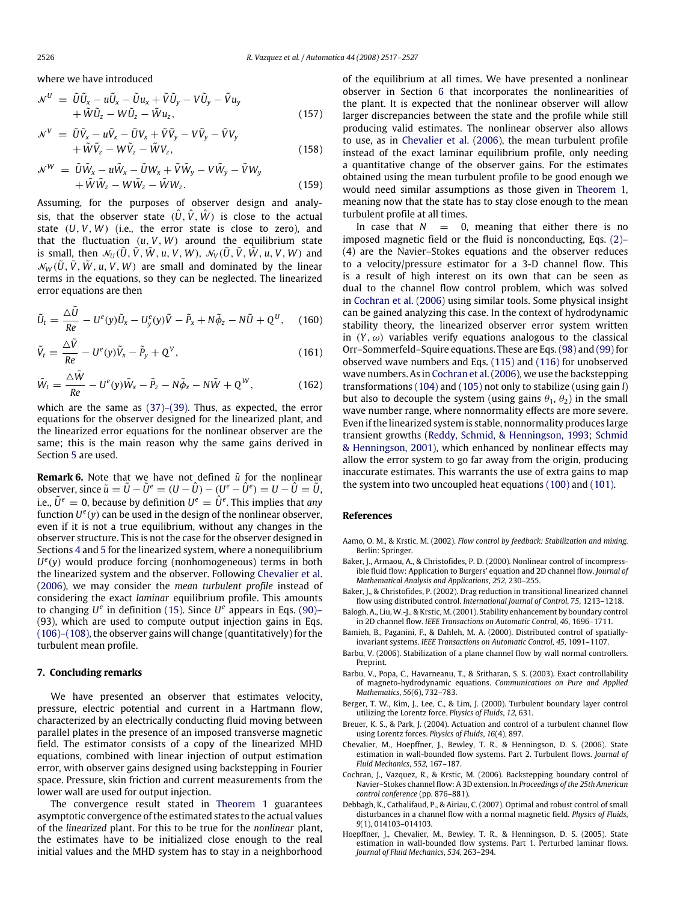where we have introduced

$$
\mathcal{N}^{U} = \tilde{U}\tilde{U}_{x} - u\tilde{U}_{x} - \tilde{U}u_{x} + \tilde{V}\tilde{U}_{y} - V\tilde{U}_{y} - \tilde{V}u_{y} + \tilde{W}\tilde{U}_{z} - W\tilde{U}_{z} - \tilde{W}u_{z},
$$
\n(157)

$$
\mathcal{N}^{V} = \tilde{U}\tilde{V}_{x} - u\tilde{V}_{x} - \tilde{U}V_{x} + \tilde{V}\tilde{V}_{y} - V\tilde{V}_{y} - \tilde{V}V_{y} \n+ \tilde{W}\tilde{V}_{z} - W\tilde{V}_{z} - \tilde{W}V_{z},
$$
\n(158)

$$
\mathcal{N}^{W} = \tilde{U}\tilde{W}_{x} - u\tilde{W}_{x} - \tilde{U}W_{x} + \tilde{V}\tilde{W}_{y} - V\tilde{W}_{y} - \tilde{V}W_{y} \n+ \tilde{W}\tilde{W}_{z} - W\tilde{W}_{z} - \tilde{W}W_{z}.
$$
\n(159)

Assuming, for the purposes of observer design and analysis, that the observer state  $(\hat{U}, \hat{V}, \hat{W})$  is close to the actual state (*U*, *V*, *W*) (i.e., the error state is close to zero), and that the fluctuation  $(u, V, W)$  around the equilibrium state is small, then  $\mathcal{N}_U(\tilde{U}, \tilde{V}, \tilde{W}, u, V, W)$ ,  $\mathcal{N}_V(\tilde{U}, \tilde{V}, \tilde{W}, u, V, W)$  and  $\mathcal{N}_W(\tilde{U}, \tilde{V}, \tilde{W}, u, V, W)$  are small and dominated by the linear terms in the equations, so they can be neglected. The linearized error equations are then

$$
\tilde{U}_t = \frac{\Delta \tilde{U}}{Re} - U^e(y)\tilde{U}_x - U^e_y(y)\tilde{V} - \tilde{P}_x + N\tilde{\phi}_z - N\tilde{U} + Q^U, \quad (160)
$$

$$
\tilde{V}_t = \frac{\Delta \tilde{V}}{Re} - U^e(y)\tilde{V}_x - \tilde{P}_y + Q^V, \qquad (161)
$$

$$
\tilde{W}_t = \frac{\Delta \tilde{W}}{Re} - U^e(y)\tilde{W}_x - \tilde{P}_z - N\tilde{\phi}_x - N\tilde{W} + Q^W, \qquad (162)
$$

which are the same as (37)–(39). Thus, as expected, the error equations for the observer designed for the linearized plant, and the linearized error equations for the nonlinear observer are the same; this is the main reason why the same gains derived in Section 5 are used.

**Remark 6.** Note that we have not defined  $\tilde{u}$  for the nonlinear  $\hat{U}$  =  $\hat{U}$  =  $\hat{U}$  =  $\hat{U}$  =  $\hat{U}$  =  $(U-\hat{U})-(U^e-\hat{U}^e)=U-\hat{U}=\tilde{U},$ i.e.,  $\tilde{U}^e = 0$ , because by definition  $U^e = \hat{U}^e$ . This implies that *any* function *U e* (*y*) can be used in the design of the nonlinear observer, even if it is not a true equilibrium, without any changes in the observer structure. This is not the case for the observer designed in Sections 4 and 5 for the linearized system, where a nonequilibrium *U e* (*y*) would produce forcing (nonhomogeneous) terms in both the linearized system and the observer. Following Chevalier et al. (2006), we may consider the *mean turbulent profile* instead of considering the exact *laminar* equilibrium profile. This amounts to changing  $U^e$  in definition (15). Since  $U^e$  appears in Eqs. (90)– (93), which are used to compute output injection gains in Eqs. (106)–(108), the observer gains will change (quantitatively) for the turbulent mean profile.

#### **7. Concluding remarks**

We have presented an observer that estimates velocity, pressure, electric potential and current in a Hartmann flow, characterized by an electrically conducting fluid moving between parallel plates in the presence of an imposed transverse magnetic field. The estimator consists of a copy of the linearized MHD equations, combined with linear injection of output estimation error, with observer gains designed using backstepping in Fourier space. Pressure, skin friction and current measurements from the lower wall are used for output injection.

The convergence result stated in Theorem 1 guarantees asymptotic convergence of the estimated states to the actual values of the *linearized* plant. For this to be true for the *nonlinear* plant, the estimates have to be initialized close enough to the real initial values and the MHD system has to stay in a neighborhood of the equilibrium at all times. We have presented a nonlinear observer in Section 6 that incorporates the nonlinearities of the plant. It is expected that the nonlinear observer will allow larger discrepancies between the state and the profile while still producing valid estimates. The nonlinear observer also allows to use, as in Chevalier et al. (2006), the mean turbulent profile instead of the exact laminar equilibrium profile, only needing a quantitative change of the observer gains. For the estimates obtained using the mean turbulent profile to be good enough we would need similar assumptions as those given in Theorem 1, meaning now that the state has to stay close enough to the mean turbulent profile at all times.

In case that  $N = 0$ , meaning that either there is no imposed magnetic field or the fluid is nonconducting, Eqs. (2)– (4) are the Navier–Stokes equations and the observer reduces to a velocity/pressure estimator for a 3-D channel flow. This is a result of high interest on its own that can be seen as dual to the channel flow control problem, which was solved in Cochran et al. (2006) using similar tools. Some physical insight can be gained analyzing this case. In the context of hydrodynamic stability theory, the linearized observer error system written in  $(Y, \omega)$  variables verify equations analogous to the classical Orr–Sommerfeld–Squire equations. These are Eqs. (98) and (99) for observed wave numbers and Eqs. (115) and (116) for unobserved wave numbers. As in Cochran et al.(2006), we use the backstepping transformations (104) and (105) not only to stabilize (using gain *l*) but also to decouple the system (using gains  $\theta_1$ ,  $\theta_2$ ) in the small wave number range, where nonnormality effects are more severe. Even if the linearized system is stable, nonnormality produces large transient growths (Reddy, Schmid, & Henningson, 1993; Schmid & Henningson, 2001), which enhanced by nonlinear effects may allow the error system to go far away from the origin, producing inaccurate estimates. This warrants the use of extra gains to map the system into two uncoupled heat equations (100) and (101).

# **References**

- Aamo, O. M., & Krstic, M. (2002). *Flow control by feedback: Stabilization and mixing*. Berlin: Springer.
- Baker, J., Armaou, A., & Christofides, P. D. (2000). Nonlinear control of incompressible fluid flow: Application to Burgers' equation and 2D channel flow. *Journal of Mathematical Analysis and Applications*, *252*, 230–255.
- Baker, J., & Christofides, P. (2002). Drag reduction in transitional linearized channel flow using distributed control. *International Journal of Control*, *75*, 1213–1218.
- Balogh, A., Liu, W.-J., & Krstic, M. (2001). Stability enhancement by boundary control in 2D channel flow. *IEEE Transactions on Automatic Control*, *46*, 1696–1711.
- Bamieh, B., Paganini, F., & Dahleh, M. A. (2000). Distributed control of spatiallyinvariant systems. *IEEE Transactions on Automatic Control*, *45*, 1091–1107.
- Barbu, V. (2006). Stabilization of a plane channel flow by wall normal controllers. Preprint.
- Barbu, V., Popa, C., Havarneanu, T., & Sritharan, S. S. (2003). Exact controllability of magneto-hydrodynamic equations. *Communications on Pure and Applied Mathematics*, *56*(6), 732–783.
- Berger, T. W., Kim, J., Lee, C., & Lim, J. (2000). Turbulent boundary layer control utilizing the Lorentz force. *Physics of Fluids*, *12*, 631.
- Breuer, K. S., & Park, J. (2004). Actuation and control of a turbulent channel flow using Lorentz forces. *Physics of Fluids*, *16*(4), 897.
- Chevalier, M., Hoepffner, J., Bewley, T. R., & Henningson, D. S. (2006). State estimation in wall-bounded flow systems. Part 2. Turbulent flows. *Journal of Fluid Mechanics*, *552*, 167–187.
- Cochran, J., Vazquez, R., & Krstic, M. (2006). Backstepping boundary control of Navier–Stokes channel flow: A 3D extension. In *Proceedings of the 25th American control conference* (pp. 876–881).
- Debbagh, K., Cathalifaud, P., & Airiau, C. (2007). Optimal and robust control of small disturbances in a channel flow with a normal magnetic field. *Physics of Fluids*, *9*(1), 014103–014103.
- Hoepffner, J., Chevalier, M., Bewley, T. R., & Henningson, D. S. (2005). State estimation in wall-bounded flow systems. Part 1. Perturbed laminar flows. *Journal of Fluid Mechanics*, *534*, 263–294.